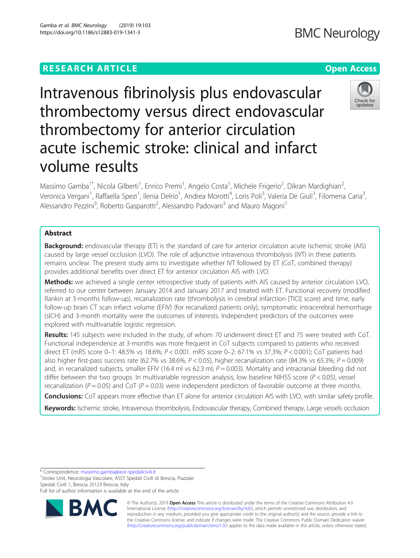# **RESEARCH ARTICLE Example 2014 12:30 The Contract of Contract ACCESS**

Intravenous fibrinolysis plus endovascular thrombectomy versus direct endovascular thrombectomy for anterior circulation acute ischemic stroke: clinical and infarct volume results

Massimo Gamba<sup>1\*</sup>, Nicola Gilberti<sup>1</sup>, Enrico Premi<sup>1</sup>, Angelo Costa<sup>1</sup>, Michele Frigerio<sup>2</sup>, Dikran Mardighian<sup>2</sup> , Veronica Vergani<sup>1</sup>, Raffaella Spezi<sup>1</sup>, Ilenia Delrio<sup>1</sup>, Andrea Morotti<sup>4</sup>, Loris Poli<sup>3</sup>, Valeria De Giuli<sup>3</sup>, Filomena Caria<sup>3</sup> , Alessandro Pezzini<sup>3</sup>, Roberto Gasparotti<sup>2</sup>, Alessandro Padovani<sup>3</sup> and Mauro Magoni<sup>1</sup>

## Abstract

Background: endovascular therapy (ET) is the standard of care for anterior circulation acute ischemic stroke (AIS) caused by large vessel occlusion (LVO). The role of adjunctive intravenous thrombolysis (IVT) in these patients remains unclear. The present study aims to investigate whether IVT followed by ET (CoT, combined therapy) provides additional benefits over direct ET for anterior circulation AIS with LVO.

Methods: we achieved a single center retrospective study of patients with AIS caused by anterior circulation LVO, referred to our center between January 2014 and January 2017 and treated with ET. Functional recovery (modified Rankin at 3-months follow-up), recanalization rate (thrombolysis in cerebral infarction [TICI] score) and time, early follow-up brain CT scan infarct volume (EFIV) (for recanalized patients only), symptomatic intracerebral hemorrhage (sICH) and 3-month mortality were the outcomes of interests. Independent predictors of the outcomes were explored with multivariable logistic regression.

Results: 145 subjects were included in the study, of whom 70 underwent direct ET and 75 were treated with CoT. Functional independence at 3-months was more frequent in CoT subjects compared to patients who received direct ET (mRS score 0–1: 48.5% vs 18.6%; P < 0.001. mRS score 0–2: 67.1% vs 37.3%; P < 0.001); CoT patients had also higher first-pass success rate (62.7% vs 38.6%,  $P < 0.05$ ), higher recanalization rate (84.3% vs 65.3%;  $P = 0.009$ ) and, in recanalized subjects, smaller EFIV (16.4 ml vs 62.3 ml;  $P = 0.003$ ). Mortality and intracranial bleeding did not differ between the two groups. In multivariable regression analysis, low baseline NIHSS score ( $P < 0.05$ ), vessel recanalization ( $P = 0.05$ ) and CoT ( $P = 0.03$ ) were independent predictors of favorable outcome at three months.

Conclusions: CoT appears more effective than ET alone for anterior circulation AIS with LVO, with similar safety profile. Keywords: Ischemic stroke, Intravenous thrombolysis, Endovascular therapy, Combined therapy, Large vessels occlusion

<sup>1</sup>Stroke Unit, Neurologia Vascolare, ASST Spedali Civili di Brescia, Piazzale Spedali Civili 1, Brescia 25123 Brescia, Italy

Full list of author information is available at the end of the article

© The Author(s). 2019 **Open Access** This article is distributed under the terms of the Creative Commons Attribution 4.0 International License [\(http://creativecommons.org/licenses/by/4.0/](http://creativecommons.org/licenses/by/4.0/)), which permits unrestricted use, distribution, and reproduction in any medium, provided you give appropriate credit to the original author(s) and the source, provide a link to the Creative Commons license, and indicate if changes were made. The Creative Commons Public Domain Dedication waiver [\(http://creativecommons.org/publicdomain/zero/1.0/](http://creativecommons.org/publicdomain/zero/1.0/)) applies to the data made available in this article, unless otherwise stated.

\* Correspondence: [massimo.gamba@asst-spedalicivili.it](mailto:massimo.gamba@asst-spedalicivili.it) <sup>1</sup>

Gamba et al. BMC Neurology (2019) 19:103 https://doi.org/10.1186/s12883-019-1341-3



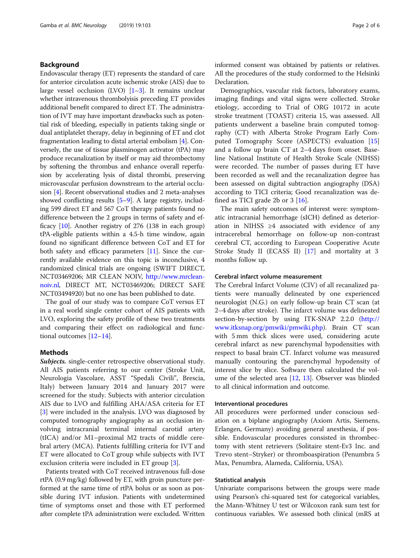## Background

Endovascular therapy (ET) represents the standard of care for anterior circulation acute ischemic stroke (AIS) due to large vessel occlusion  $(LVO)$   $[1–3]$  $[1–3]$  $[1–3]$ . It remains unclear whether intravenous thrombolyisis preceding ET provides additional benefit compared to direct ET. The administration of IVT may have important drawbacks such as potential risk of bleeding, especially in patients taking single or dual antiplatelet therapy, delay in beginning of ET and clot fragmentation leading to distal arterial embolism [\[4](#page-4-0)]. Conversely, the use of tissue plasminogen activator (tPA) may produce recanalization by itself or may aid thrombectomy by softening the thrombus and enhance overall reperfusion by accelerating lysis of distal thrombi, preserving microvascular perfusion downstream to the arterial occlusion [\[4](#page-4-0)]. Recent observational studies and 2 meta-analyses showed conflicting results [\[5](#page-5-0)–[9\]](#page-5-0). A large registry, including 599 direct ET and 567 CoT therapy patients found no difference between the 2 groups in terms of safety and efficacy [\[10](#page-5-0)]. Another registry of 276 (138 in each group) tPA-eligible patients within a 4.5-h time window, again found no significant difference between CoT and ET for both safety and efficacy parameters [[11](#page-5-0)]. Since the currently available evidence on this topic is inconclusive, 4 randomized clinical trials are ongoing (SWIFT DIRECT, NCT03469206; MR CLEAN NOIV, [http://www.mrclean](http://www.mrclean-noiv.nl)[noiv.nl,](http://www.mrclean-noiv.nl) DIRECT MT, NCT03469206; DIRECT SAFE NCT03494920) but no one has been published to date.

The goal of our study was to compare CoT versus ET in a real world single center cohort of AIS patients with LVO, exploring the safety profile of these two treatments and comparing their effect on radiological and functional outcomes [\[12](#page-5-0)–[14\]](#page-5-0).

## Methods

Subjects. single-center retrospective observational study. All AIS patients referring to our center (Stroke Unit, Neurologia Vascolare, ASST "Spedali Civili", Brescia, Italy) between January 2014 and January 2017 were screened for the study. Subjects with anterior circulation AIS due to LVO and fulfilling AHA/ASA criteria for ET [[3\]](#page-4-0) were included in the analysis. LVO was diagnosed by computed tomography angiography as an occlusion involving intracranial terminal internal carotid artery (tICA) and/or M1–proximal M2 tracts of middle cerebral artery (MCA). Patients fulfilling criteria for IVT and ET were allocated to CoT group while subjects with IVT exclusion criteria were included in ET group [\[3](#page-4-0)].

Patients treated with CoT received intravenous full-dose rtPA (0.9 mg/kg) followed by ET, with groin puncture performed at the same time of rtPA bolus or as soon as possible during IVT infusion. Patients with undetermined time of symptoms onset and those with ET performed after complete tPA administration were excluded. Written informed consent was obtained by patients or relatives. All the procedures of the study conformed to the Helsinki Declaration.

Demographics, vascular risk factors, laboratory exams, imaging findings and vital signs were collected. Stroke etiology, according to Trial of ORG 10172 in acute stroke treatment (TOAST) criteria 15, was assessed. All patients underwent a baseline brain computed tomography (CT) with Alberta Stroke Program Early Computed Tomography Score (ASPECTS) evaluation [[15](#page-5-0)] and a follow up brain CT at 2–4 days from onset. Baseline National Institute of Health Stroke Scale (NIHSS) were recorded. The number of passes during ET have been recorded as well and the recanalization degree has been assessed on digital subtraction angiography (DSA) according to TICI criteria; Good recanalization was defined as TICI grade 2b or 3 [[16\]](#page-5-0).

The main safety outcomes of interest were: symptomatic intracranial hemorrhage (sICH) defined as deterioration in NIHSS ≥4 associated with evidence of any intracerebral hemorrhage on follow-up non-contrast cerebral CT, according to European Cooperative Acute Stroke Study II (ECASS II) [\[17](#page-5-0)] and mortality at 3 months follow up.

## Cerebral infarct volume measurement

The Cerebral Infarct Volume (CIV) of all recanalized patients were manually delineated by one experienced neurologist (N.G.) on early follow-up brain CT scan (at 2–4 days after stroke). The infarct volume was delineated section-by-section by using ITK-SNAP 2.2.0 [\(http://](http://www.itksnap.org/pmwiki/pmwiki.php) [www.itksnap.org/pmwiki/pmwiki.php](http://www.itksnap.org/pmwiki/pmwiki.php)). Brain CT scan with 5 mm thick slices were used, considering acute cerebral infarct as new parenchymal hypodensities with respect to basal brain CT. Infarct volume was measured manually contouring the parenchymal hypodensity of interest slice by slice. Software then calculated the volume of the selected area [[12,](#page-5-0) [13](#page-5-0)]. Observer was blinded to all clinical information and outcome.

## Interventional procedures

All procedures were performed under conscious sedation on a biplane angiography (Axiom Artis, Siemens, Erlangen, Germany) avoiding general anesthesia, if possible. Endovascular procedures consisted in thrombectomy with stent retrievers (Solitaire stent-Ev3 Inc. and Trevo stent–Stryker) or thromboaspiration (Penumbra 5 Max, Penumbra, Alameda, California, USA).

## Statistical analysis

Univariate comparisons between the groups were made using Pearson's chi-squared test for categorical variables, the Mann-Whitney U test or Wilcoxon rank sum test for continuous variables. We assessed both clinical (mRS at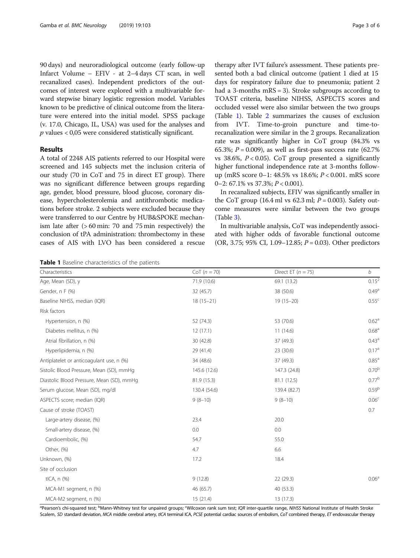<span id="page-2-0"></span>90 days) and neuroradiological outcome (early follow-up Infarct Volume – EFIV - at 2–4 days CT scan, in well recanalized cases). Independent predictors of the outcomes of interest were explored with a multivariable forward stepwise binary logistic regression model. Variables known to be predictive of clinical outcome from the literature were entered into the initial model. SPSS package (v. 17.0, Chicago, IL, USA) was used for the analyses and  $p$  values  $< 0.05$  were considered statistically significant.

## Results

A total of 2248 AIS patients referred to our Hospital were screened and 145 subjects met the inclusion criteria of our study (70 in CoT and 75 in direct ET group). There was no significant difference between groups regarding age, gender, blood pressure, blood glucose, coronary disease, hypercholesterolemia and antithrombotic medications before stroke. 2 subjects were excluded because they were transferred to our Centre by HUB&SPOKE mechanism late after (> 60 min: 70 and 75 min respectively) the conclusion of tPA administration: thrombectomy in these cases of AIS with LVO has been considered a rescue

therapy after IVT failure's assessment. These patients presented both a bad clinical outcome (patient 1 died at 15 days for respiratory failure due to pneumonia; patient 2 had a 3-months mRS = 3). Stroke subgroups according to TOAST criteria, baseline NIHSS, ASPECTS scores and occluded vessel were also similar between the two groups (Table 1). Table [2](#page-3-0) summarizes the causes of exclusion from IVT. Time-to-groin puncture and time-torecanalization were similar in the 2 groups. Recanalization rate was significantly higher in CoT group (84.3% vs 65.3%;  $P = 0.009$ ), as well as first-pass success rate (62.7%) vs 38.6%,  $P < 0.05$ ). CoT group presented a significantly higher functional independence rate at 3-months followup (mRS score 0–1: 48.5% vs 18.6%; P < 0.001. mRS score

In recanalized subjects, EFIV was significantly smaller in the CoT group (16.4 ml vs 62.3 ml;  $P = 0.003$ ). Safety outcome measures were similar between the two groups (Table [3\)](#page-3-0).

0–2: 67.1% vs 37.3%;  $P < 0.001$ ).

In multivariable analysis, CoT was independently associated with higher odds of favorable functional outcome (OR, 3.75; 95% CI, 1.09–12.85;  $P = 0.03$ ). Other predictors

Table 1 Baseline characteristics of the patients

Age, Mean (SD), y 0.15<sup>2</sup> (10.6) 69.1 (13.2) 69.1 (13.2) 0.15<sup>2</sup> Gender, n F (%) 32 (45.7) 38 (50.6) 38 (50.6) 38 (50.6) 38 (50.6) Baseline NIHSS, median (IQR) 18 (15–21) 18 (15–21) 19 (15–20) 19 (15–20) 19 (15–20) Risk factors Hypertension, n (%)  $0.62^{\circ}$   $0.62^{\circ}$  $Diabetes$  mellitus, n (%)  $0.68^{\circ}$  0.68<sup>a</sup> Atrial fibrillation, n (%)  $0.43^{\circ}$   $0.43^{\circ}$   $0.43^{\circ}$   $0.43^{\circ}$   $0.43^{\circ}$   $0.43^{\circ}$   $0.43^{\circ}$ Hyperlipidemia, n (%) **29 (41.4)** 29 (41.4) 23 (30.6) 29 (41.4) 23 (30.6) Antiplatelet or anticoagulant use, n  $(\%)$  34 (48.6) 37 (49.3) 37 (49.3) 0.85<sup>a</sup> Sistolic Blood Pressure, Mean (SD), mmHg 145.6 (12.6) 145.6 (12.6) 147.3 (24.8) 147.3 (24.8) 0.70<sup>b</sup> Diastolic Blood Pressure, Mean (SD), mmHg 81.9 (15.3) 81.1 (12.5) 81.1 (12.5) 81.1 (12.5) Serum glucose, Mean (SD), mg/dl 130.4 (54.6) 130.4 (54.6) 139.4 (82.7) 139.4 (82.7) 0.59b ASPECTS score; median (IQR) 8 (8-10) 9 (8-10) 9 (8-10) 9 (8-10) 9 (8-10) Cause of stroke (TOAST) 0.7 Large-artery disease, (%) 23.4 20.0 Small-artery disease, (%) 0.0 0.0 Cardioembolic, (%) 54.7 55.0 Other, (%) 6.6 Unknown, (%) 17.2 18.4 Site of occlusion tICA, n (%)  $9(12.8)$  9 (12.8) 22 (29.3) 0.06<sup>a</sup> MCA-M1 segment, n (%) 46 (65.7) 40 (53.3) MCA-M2 segment, n (%) 13 (17.3)

Characteristics  $\text{Cor}(n = 70)$  Direct ET  $(n = 75)$  b

<sup>a</sup> Pearson's chi-squared test; <sup>b</sup>Mann-Whitney test for unpaired groups; <sup>c</sup>Wilcoxon rank sum test; *IQR* inter-quartile range, *NIHSS* National Institute of Health Stroke<br>Scalem, SD standard deviation *MCA* middle cerebr Scalem, SD standard deviation, MCA middle cerebral artery, tICA terminal ICA, PCSE potential cardiac sources of embolism, CoT combined therapy, ET endovascular therapy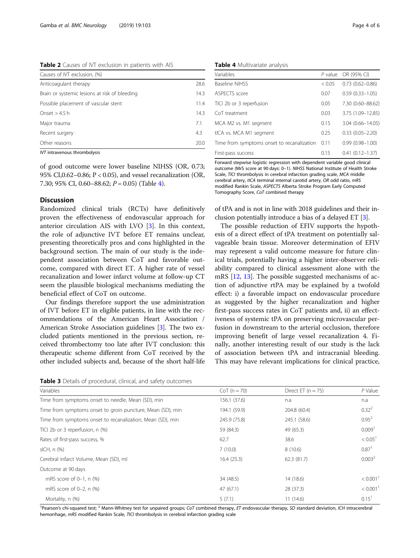<span id="page-3-0"></span>Table 2 Causes of IVT exclusion in patients with AIS

| Causes of IVT exclusion, (%)                  |      |
|-----------------------------------------------|------|
| Anticoagulant therapy                         | 28.6 |
| Brain or systemic lesions at risk of bleeding | 14.3 |
| Possible placement of vascular stent          | 11.4 |
| Onset $>$ 4.5 h                               | 14.3 |
| Major trauma                                  | 71   |
| Recent surgery                                | 4.3  |
| Other reasons                                 | 20.0 |

IVT intravenous thrombolysis

of good outcome were lower baseline NIHSS (OR, 0.73; 95% CI,0.62–0.86; P < 0.05), and vessel recanalization (OR, 7.30; 95% CI, 0.60–88.62;  $P = 0.05$ ) (Table 4).

## Discussion

Randomized clinical trials (RCTs) have definitively proven the effectiveness of endovascular approach for anterior circulation AIS with LVO [[3\]](#page-4-0). In this context, the role of adjunctive IVT before ET remains unclear, presenting theoretically pros and cons highlighted in the background section. The main of our study is the independent association between CoT and favorable outcome, compared with direct ET. A higher rate of vessel recanalization and lower infarct volume at follow-up CT seem the plausible biological mechanisms mediating the beneficial effect of CoT on outcome.

Our findings therefore support the use administration of IVT before ET in eligible patients, in line with the recommendations of the American Heart Association / American Stroke Association guidelines [\[3\]](#page-4-0). The two excluded patients mentioned in the previous section, received thrombectomy too late after IVT conclusion: this therapeutic scheme different from CoT received by the other included subjects and, because of the short half-life

Table 4 Multivariate analysis

| Variables                                  |        | P value OR (95% CI) |
|--------------------------------------------|--------|---------------------|
| <b>Baseline NIHSS</b>                      | < 0.05 | $0.73(0.62 - 0.86)$ |
| ASPECTS score                              | 0.07   | $0.59(0.33 - 1.05)$ |
| TICI 2b or 3 reperfusion                   | 0.05   | 7.30 (0.60-88.62)   |
| Co <sub>T</sub> treatment                  | 0.03   | 3.75 (1.09-12.85)   |
| MCA M2 vs. M1 segment                      | 0.15   | 3.04 (0.66-14.05)   |
| tICA vs. MCA M1 segment                    | 0.25   | $0.33(0.05 - 2.20)$ |
| Time from symptoms onset to recanalization | 0.11   | $0.99(0.98 - 1.00)$ |
| First-pass success                         | 0.15   | $0.41(0.12 - 1.37)$ |

Forward stepwise logistic regression with dependent variable good clinical outcome (MrS score at 90 days: 0–1). NIHSS National Institute of Health Stroke Scale, TICI thrombolysis in cerebral infarction grading scale, MCA middle cerebral artery, tICA terminal internal carotid artery, OR odd ratio, mRS modified Rankin Scale, ASPECTS Alberta Stroke Program Early Computed Tomography Score, CoT combined therapy

of tPA and is not in line with 2018 guidelines and their inclusion potentially introduce a bias of a delayed ET [\[3](#page-4-0)].

The possible reduction of EFIV supports the hypothesis of a direct effect of tPA treatment on potentially salvageable brain tissue. Moreover determination of EFIV may represent a valid outcome measure for future clinical trials, potentially having a higher inter-observer reliability compared to clinical assessment alone with the mRS [\[12](#page-5-0), [13](#page-5-0)]. The possible suggested mechanisms of action of adjunctive rtPA may be explained by a twofold effect: i) a favorable impact on endovascular procedure as suggested by the higher recanalization and higher first-pass success rates in CoT patients and, ii) an effectiveness of systemic tPA on preserving microvascular perfusion in downstream to the arterial occlusion, therefore improving benefit of large vessel recanalization 4. Finally, another interesting result of our study is the lack of association between tPA and intracranial bleeding. This may have relevant implications for clinical practice,

|  |  |  | Table 3 Details of procedural, clinical, and safety outcomes |
|--|--|--|--------------------------------------------------------------|
|--|--|--|--------------------------------------------------------------|

| Variables                                                  | $CoT (n = 70)$ | Direct ET $(n = 75)$ | $P$ Value              |
|------------------------------------------------------------|----------------|----------------------|------------------------|
| Time from symptoms onset to needle, Mean (SD), min         | 156.1 (37.6)   | n.a                  | n.a                    |
| Time from symptoms onset to groin puncture, Mean (SD), min | 194.1 (59.9)   | 204.8 (60.4)         | $0.32^{2}$             |
| Time from symptoms onset to recanalization, Mean (SD), min | 245.9 (75.8)   | 245.1 (58.6)         | $0.95^2$               |
| TICI 2b or 3 reperfusion, n (%)                            | 59 (84.3)      | 49 (65.3)            | 0.009 <sup>1</sup>     |
| Rates of first-pass success, %                             | 62.7           | 38.6                 | < 0.05 <sup>1</sup>    |
| $slCH, n$ $(\%)$                                           | 7(10.0)        | 8(10.6)              | 0.87 <sup>1</sup>      |
| Cerebral infarct Volume, Mean (SD), ml                     | 16.4(25.3)     | 62.3 (81.7)          | 0.003 <sup>2</sup>     |
| Outcome at 90 days                                         |                |                      |                        |
| mRS score of $0-1$ , n $(\%)$                              | 34 (48.5)      | 14 (18.6)            | $< 0.001$ <sup>1</sup> |
| mRS score of 0-2, n (%)                                    | 47(67.1)       | 28 (37.3)            | < 0.001 <sup>1</sup>   |
| Mortality, n (%)                                           | 5(7.1)         | 11(14.6)             | $0.15$ <sup>1</sup>    |

<sup>1</sup>Pearson's chi-squared test; <sup>2</sup> Mann-Whitney test for unpaired groups; CoT combined therapy, ET endovascular therapy, SD standard deviation, ICH intracerebral<br>hemorrhage m<sup>ps</sup> modified Bankin Scale. TICI thrombolysis in hemorrhage, mRS modified Rankin Scale, TICI thrombolysis in cerebral infarction grading scale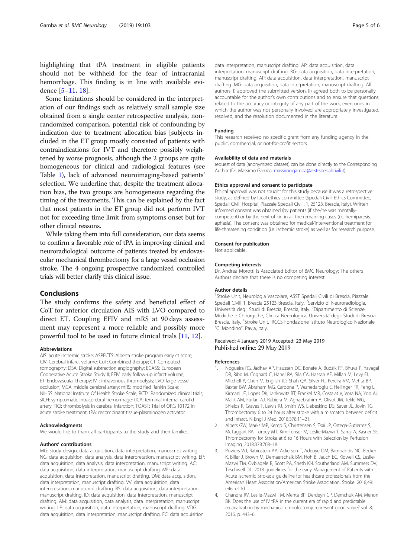<span id="page-4-0"></span>highlighting that tPA treatment in eligible patients should not be withheld for the fear of intracranial hemorrhage. This finding is in line with available evidence [[5](#page-5-0)–[11](#page-5-0), [18](#page-5-0)].

Some limitations should be considered in the interpretation of our findings such as relatively small sample size obtained from a single center retrospective analysis, nonrandomized comparison, potential risk of confounding by indication due to treatment allocation bias [subjects included in the ET group mostly consisted of patients with contraindications for IVT and therefore possibly weightened by worse prognosis, although the 2 groups are quite homogeneous for clinical and radiological features (see Table [1\)](#page-2-0), lack of advanced neuroimaging-based patients' selection. We underline that, despite the treatment allocation bias, the two groups are homogeneous regarding the timing of the treatments. This can be explained by the fact that most patients in the ET group did not perform IVT not for exceeding time limit from symptoms onset but for other clinical reasons.

While taking them into full consideration, our data seems to confirm a favorable role of tPA in improving clinical and neuroradiological outcome of patients treated by endovascular mechanical thrombectomy for a large vessel occlusion stroke. The 4 ongoing prospective randomized controlled trials will better clarify this clinical issue.

## Conclusions

The study confirms the safety and beneficial effect of CoT for anterior circulation AIS with LVO compared to direct ET. Coupling EFIV and mRS at 90 days assessment may represent a more reliable and possibly more powerful tool to be used in future clinical trials [[11](#page-5-0), [12](#page-5-0)].

#### Abbreviations

AIS: acute ischemic stroke; ASPECTS: Alberta stroke program early ct score; CIV: Cerebral infarct volume; CoT: Combined therapy; CT: Computed tomography; DSA: Digital subtraction angiography; ECASS: European Cooperative Acute Stroke Study II; EFIV: early follow-up infarct volume; ET: Endovascular therapy; IVT: intravenous thrombolysis; LVO: large vessel occlusion; MCA: middle cerebral artery; mRS: modified Rankin Scale; NIHSS: National Institute Of Health Stroke Scale; RCTs: Randomized clinical trials; sICH: symptomatic intracerebral hemorrhage; tICA: terminal internal carotid artery; TICI: thrombolysis in cerebral infarction; TOAST: Trial of ORG 10172 in acute stroke treatment; tPA: recombinant tissue-plasminogen activator

#### Acknowledgments

We would like to thank all participants to the study and their families.

#### Authors' contributions

MG: study design, data acquisition, data interpretation, manuscript writing. NG: data acquisition, data analysis, data interpretation, manuscript writing. EP: data acquisition, data analysis, data interpretation, manuscript writing. AC: data acquisition, data interpretation, manuscript drafting. MF: data acquisition, data interpretation, manuscript drafting. DM: data acquisition, data interpretation, manuscript drafting. VV: data acquisition, data interpretation, manuscript drafting. RS: data acquisition, data interpretation, manuscript drafting. ID: data acquisition, data interpretation, manuscript drafting. AM: data acquisition, data analysis, data interpretation, manuscript writing. LP: data acquisition, data interpretation, manuscript drafting. VDG: data acquisition, data interpretation, manuscript drafting. FC: data acquisition, data interpretation, manuscript drafting. AP: data acquisition, data interpretation, manuscript drafting. RG: data acquisition, data interpretation, manuscript drafting. AP: data acquisition, data interpretation, manuscript drafting. MG: data acquisition, data interpretation, manuscript drafting. All authors: i) approved the submitted version, ii) agreed both to be personally accountable for the author's own contributions and to ensure that questions related to the accuracy or integrity of any part of the work, even ones in which the author was not personally involved, are appropriately investigated, resolved, and the resolution documented in the literature.

#### Funding

This research received no specific grant from any funding agency in the public, commercial, or not-for-profit sectors.

#### Availability of data and materials

request of data (anonymized dataset) can be done directly to the Corresponding Author (Dr. Massimo Gamba, [massimo.gamba@asst-spedalicivili.it](mailto:massimo.gamba@asst-spedalicivili.it)).

#### Ethics approval and consent to participate

Ethical approval was not sought for this study because it was a retrospective study, as defined by local ethics committee (Spedali Civili Ethics Committee, Spedali Civili Hospital, Piazzale Spedali Civili, 1, 25123, Brescia, Italy). Written informed consent was obtained (by patients (if she/he was mentallycompetent) or by the next of kin in all the remaining cases (i.e. hemiparesis, aphasia). The consent was obtained for medical/interventional treatment for life-threatening condition (i.e. ischemic stroke) as well as for research purpose.

#### Consent for publication

Not applicable.

#### Competing interests

Dr. Andrea Morotti is Associated Editor of BMC Neurology; The others Authors declare that there is no competing interest.

#### Author details

<sup>1</sup>Stroke Unit, Neurologia Vascolare, ASST Spedali Civili di Brescia, Piazzale Spedali Civili 1, Brescia 25123 Brescia, Italy. <sup>2</sup>Servizio di Neuroradiologia, Università degli Studi di Brescia, Brescia, Italy. <sup>3</sup>Dipartimento di Scienze Mediche e Chirurgiche, Clinica Neurologica, Università degli Studi di Brescia, Brescia, Italy. <sup>4</sup>Stroke Unit, IRCCS Fondazione Istituto Neurologico Nazionale "C. Mondino", Pavia, Italy.

### Received: 4 January 2019 Accepted: 23 May 2019 Published online: 29 May 2019

#### References

- 1. Nogueira RG, Jadhav AP, Haussen DC, Bonafe A, Budzik RF, Bhuva P, Yavagal DR, Ribo M, Cognard C, Hanel RA, Sila CA, Hassan AE, Millan M, Levy EI, Mitchell P, Chen M, English JD, Shah QA, Silver FL, Pereira VM, Mehta BP, Baxter BW, Abraham MG, Cardona P, Veznedaroglu E, Hellinger FR, Feng L, Kirmani JF, Lopes DK, Jankowitz BT, Frankel MR, Costalat V, Vora NA, Yoo AJ, Malik AM, Furlan AJ, Rubiera M, Aghaebrahim A, Olivot JM, Tekle WG, Shields R, Graves T, Lewis RJ, Smith WS, Liebeskind DS, Saver JL, Jovin TG. Thrombectomy 6 to 24 hours after stroke with a mismatch between deficit and infarct. N Engl J Med. 2018;378:11–21.
- 2. Albers GW, Marks MP, Kemp S, Christensen S, Tsai JP, Ortega-Gutierrez S, McTaggart RA, Torbey MT, Kim-Tenser M, Leslie-Mazwi T, Sarraj A, Kasner SE. Thrombectomy for Stroke at 6 to 16 Hours with Selection by Perfusion Imaging. 2018;378:708–18.
- 3. Powers WJ, Rabinstein AA, Ackerson T, Adeoye OM, Bambakidis NC, Becker K, Biller J, Brown M, Demaerschalk BM, Hoh B, Jauch EC, Kidwell CS, Leslie-Mazwi TM, Ovbiagele B, Scott PA, Sheth KN, Southerland AM, Summers DV, Tirschwell DL. 2018 guidelines for the early Management of Patients with Acute Ischemic Stroke: a guideline for healthcare professionals from the American Heart Association/American Stroke Association. Stroke. 2018;49: e46–e110.
- 4. Chandra RV, Leslie-Mazwi TM, Mehta BP, Derdeyn CP, Demchuk AM, Menon BK. Does the use of IV tPA in the current era of rapid and predictable recanalization by mechanical embolectomy represent good value? vol. 8; 2016. p. 443–6.